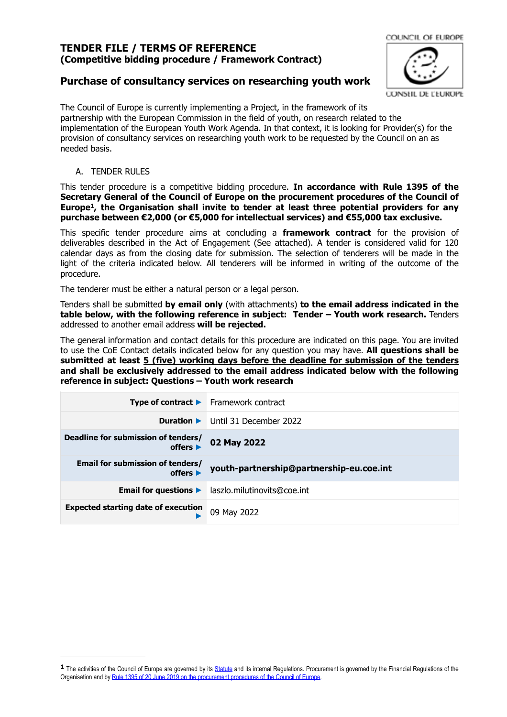# **TENDER FILE / TERMS OF REFERENCE (Competitive bidding procedure / Framework Contract)**

# **Purchase of consultancy services on researching youth work**

CONSEIL DE L'EUROPE

COUNCIL OF EUROPE

The Council of Europe is currently implementing a Project, in the framework of its partnership with the European Commission in the field of youth, on research related to the implementation of the European Youth Work Agenda. In that context, it is looking for Provider(s) for the provision of consultancy services on researching youth work to be requested by the Council on an as needed basis.

A. TENDER RULES

<span id="page-0-1"></span>This tender procedure is a competitive bidding procedure. **In accordance with Rule 1395 of the Secretary General of the Council of Europe on the procurement procedures of the Council of Europe , the Organisation shall invite to tender at least three potential providers for any [1](#page-0-0) purchase between €2,000 (or €5,000 for intellectual services) and €55,000 tax exclusive.**

This specific tender procedure aims at concluding a **framework contract** for the provision of deliverables described in the Act of Engagement (See attached). A tender is considered valid for 120 calendar days as from the closing date for submission. The selection of tenderers will be made in the light of the criteria indicated below. All tenderers will be informed in writing of the outcome of the procedure.

The tenderer must be either a natural person or a legal person.

Tenders shall be submitted **by email only** (with attachments) **to the email address indicated in the table below, with the following reference in subject: Tender – Youth work research.** Tenders addressed to another email address **will be rejected.**

The general information and contact details for this procedure are indicated on this page. You are invited to use the CoE Contact details indicated below for any question you may have. **All questions shall be submitted at least 5 (five) working days before the deadline for submission of the tenders and shall be exclusively addressed to the email address indicated below with the following reference in subject: Questions – Youth work research**

|                                                                         | Type of contract > Framework contract    |
|-------------------------------------------------------------------------|------------------------------------------|
| Duration $\blacktriangleright$                                          | Until 31 December 2022                   |
| Deadline for submission of tenders/<br>offers $\blacktriangleright$     | 02 May 2022                              |
| <b>Email for submission of tenders/</b><br>offers $\blacktriangleright$ | youth-partnership@partnership-eu.coe.int |
| Email for questions $\blacktriangleright$                               | laszlo.milutinovits@coe.int              |
| <b>Expected starting date of execution</b>                              | 09 May 2022                              |

<span id="page-0-0"></span><sup>1</sup> The activities of the Council of Europe are governed by its [Statute](https://rm.coe.int/CoERMPublicCommonSearchServices/DisplayDCTMContent?documentId=0900001680306052) and its internal Regulations. Procurement is governed by the Financial Regulations of the Organisation and by [Rule 1395 of 20 June 2019 on the procurement procedures of the Council of Europe.](https://search.coe.int/intranet/Pages/result_details.aspx?ObjectId=090000168094853e)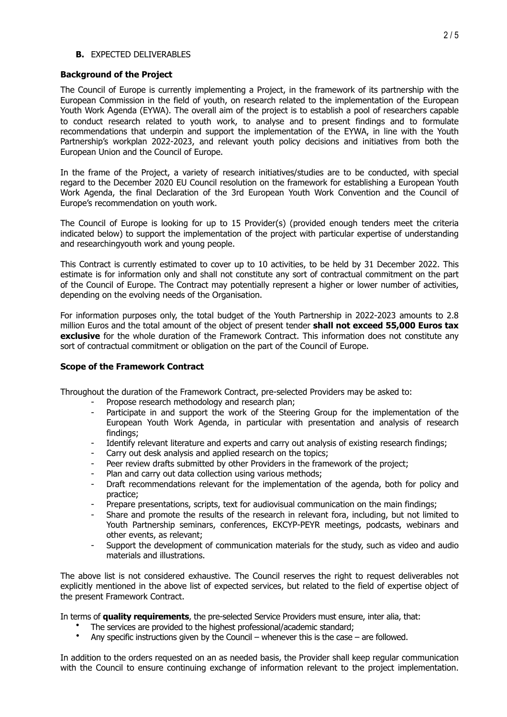#### **B.** EXPECTED DELIVERABLES

#### **Background of the Project**

The Council of Europe is currently implementing a Project, in the framework of its partnership with the European Commission in the field of youth, on research related to the implementation of the [European](https://www.eywc2020.eu/en/agenda/) [Youth Work](https://www.eywc2020.eu/en/agenda/) Agenda (EYWA). The overall aim of the project is to establish a pool of researchers capable to conduct research related to youth work, to analyse and to present findings and to formulate recommendations that underpin and support the implementation of the EYWA, in line with the Youth Partnership's workplan 2022-2023, and relevant youth policy decisions and initiatives from both the European Union and the Council of Europe.

In the frame of the Project, a variety of research initiatives/studies are to be conducted, with special regard to the December 2020 [EU Council resolution](https://www.eywc2020.eu/en/news/strengthen-youth-work-make-it-more-visible-and-develop-it-further-resolution-european-youth-work-agenda.26) on the framework for establishing a European Youth Work Agenda, the [final Declaration](https://www.eywc2020.eu/en/convention/final-declaration/) of the [3rd European Youth Work Convention](https://pjp-eu.coe.int/en/web/youth-partnership/eywc-2020) and the [Council of](https://www.coe.int/en/web/youth/-/recommendation-on-youth-work) [Europe's recommendation on youth work.](https://www.coe.int/en/web/youth/-/recommendation-on-youth-work)

The Council of Europe is looking for up to 15 Provider(s) (provided enough tenders meet the criteria indicated below) to support the implementation of the project with particular expertise of understanding and researchingyouth work and young people.

This Contract is currently estimated to cover up to 10 activities, to be held by 31 December 2022. This estimate is for information only and shall not constitute any sort of contractual commitment on the part of the Council of Europe. The Contract may potentially represent a higher or lower number of activities, depending on the evolving needs of the Organisation.

For information purposes only, the total budget of the Youth Partnership in 2022-2023 amounts to 2.8 million Euros and the total amount of the object of present tender **shall not exceed 55,000 Euros tax exclusive** for the whole duration of the Framework Contract. This information does not constitute any sort of contractual commitment or obligation on the part of the Council of Europe.

### **Scope of the Framework Contract**

Throughout the duration of the Framework Contract, pre-selected Providers may be asked to:

- Propose research methodology and research plan;
- Participate in and support the work of the Steering Group for the implementation of the European Youth Work Agenda, in particular with presentation and analysis of research findings;
- Identify relevant literature and experts and carry out analysis of existing research findings;
- Carry out desk analysis and applied research on the topics:
- Peer review drafts submitted by other Providers in the framework of the project:
- Plan and carry out data collection using various methods;
- Draft recommendations relevant for the implementation of the agenda, both for policy and practice;
- Prepare presentations, scripts, text for audiovisual communication on the main findings;
- Share and promote the results of the research in relevant fora, including, but not limited to Youth Partnership seminars, conferences, EKCYP-PEYR meetings, podcasts, webinars and other events, as relevant;
- Support the development of communication materials for the study, such as video and audio materials and illustrations.

The above list is not considered exhaustive. The Council reserves the right to request deliverables not explicitly mentioned in the above list of expected services, but related to the field of expertise object of the present Framework Contract.

In terms of **quality requirements**, the pre-selected Service Providers must ensure, inter alia, that:

- The services are provided to the highest professional/academic standard;<br>• Any specific instructions given by the Council whenever this is the spec
- Any specific instructions given by the Council whenever this is the case are followed.

In addition to the orders requested on an as needed basis, the Provider shall keep regular communication with the Council to ensure continuing exchange of information relevant to the project implementation.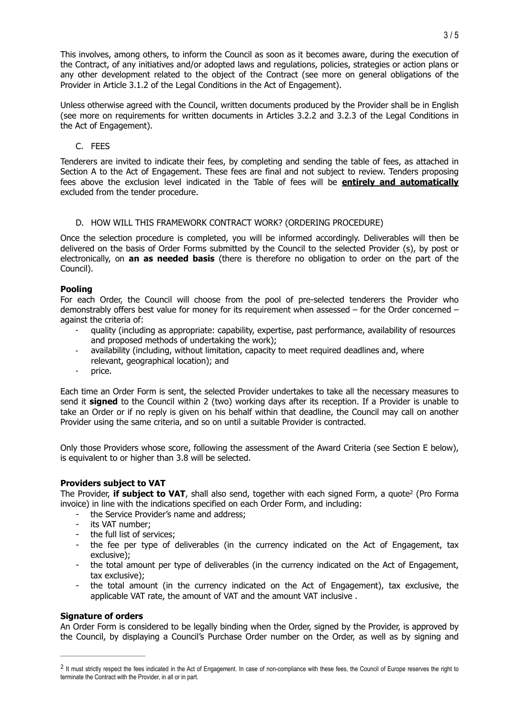This involves, among others, to inform the Council as soon as it becomes aware, during the execution of the Contract, of any initiatives and/or adopted laws and regulations, policies, strategies or action plans or any other development related to the object of the Contract (see more on general obligations of the Provider in Article 3.1.2 of the Legal Conditions in the Act of Engagement).

Unless otherwise agreed with the Council, written documents produced by the Provider shall be in English (see more on requirements for written documents in Articles 3.2.2 and 3.2.3 of the Legal Conditions in the Act of Engagement).

# C. FEES

Tenderers are invited to indicate their fees, by completing and sending the table of fees, as attached in Section A to the Act of Engagement. These fees are final and not subject to review. Tenders proposing fees above the exclusion level indicated in the Table of fees will be **entirely and automatically** excluded from the tender procedure.

# D. HOW WILL THIS FRAMEWORK CONTRACT WORK? (ORDERING PROCEDURE)

Once the selection procedure is completed, you will be informed accordingly. Deliverables will then be delivered on the basis of Order Forms submitted by the Council to the selected Provider (s), by post or electronically, on **an as needed basis** (there is therefore no obligation to order on the part of the Council).

# **Pooling**

For each Order, the Council will choose from the pool of pre-selected tenderers the Provider who demonstrably offers best value for money for its requirement when assessed – for the Order concerned – against the criteria of:

- quality (including as appropriate: capability, expertise, past performance, availability of resources and proposed methods of undertaking the work);
- availability (including, without limitation, capacity to meet required deadlines and, where relevant, geographical location); and
- price.

Each time an Order Form is sent, the selected Provider undertakes to take all the necessary measures to send it **signed** to the Council within 2 (two) working days after its reception. If a Provider is unable to take an Order or if no reply is given on his behalf within that deadline, the Council may call on another Provider using the same criteria, and so on until a suitable Provider is contracted.

Only those Providers whose score, following the assessment of the Award Criteria (see Section E below), is equivalent to or higher than 3.8 will be selected.

# **Providers subject to VAT**

Th[e](#page-2-0) Provider, **if subject to VAT**, shall also send, together with each signed Form, a quote<sup>[2](#page-2-0)</sup> (Pro Forma invoice) in line with the indications specified on each Order Form, and including:

- the Service Provider's name and address;
- <span id="page-2-1"></span>- its VAT number;
- the full list of services;
- the fee per type of deliverables (in the currency indicated on the Act of Engagement, tax exclusive);
- the total amount per type of deliverables (in the currency indicated on the Act of Engagement, tax exclusive);
- the total amount (in the currency indicated on the Act of Engagement), tax exclusive, the applicable VAT rate, the amount of VAT and the amount VAT inclusive .

### **Signature of orders**

An Order Form is considered to be legally binding when the Order, signed by the Provider, is approved by the Council, by displaying a Council's Purchase Order number on the Order, as well as by signing and

<span id="page-2-0"></span><sup>&</sup>lt;sup>[2](#page-2-1)</sup> It must strictly respect the fees indicated in the Act of Engagement. In case of non-compliance with these fees, the Council of Europe reserves the right to terminate the Contract with the Provider, in all or in part.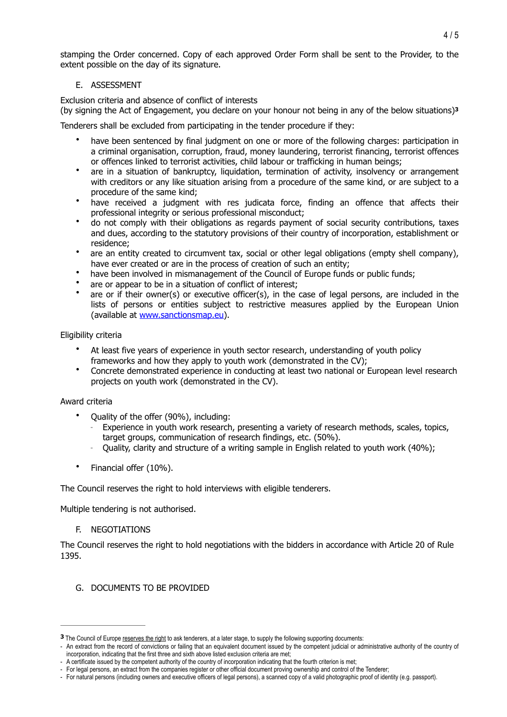stamping the Order concerned. Copy of each approved Order Form shall be sent to the Provider, to the extent possible on the day of its signature.

# <span id="page-3-1"></span>E. ASSESSMENT

Exclusion criteria and absence of conflict of interests

(by signing the Act of Engagement, you declare on your honour not being in any of the below situations)**[3](#page-3-0)**

Tenderers shall be excluded from participating in the tender procedure if they:

- have been sentenced by final judgment on one or more of the following charges: participation in a criminal organisation, corruption, fraud, money laundering, terrorist financing, terrorist offences or offences linked to terrorist activities, child labour or trafficking in human beings;
- are in a situation of bankruptcy, liquidation, termination of activity, insolvency or arrangement with creditors or any like situation arising from a procedure of the same kind, or are subject to a procedure of the same kind;
- have received a judgment with res judicata force, finding an offence that affects their professional integrity or serious professional misconduct;
- do not comply with their obligations as regards payment of social security contributions, taxes and dues, according to the statutory provisions of their country of incorporation, establishment or residence;
- are an entity created to circumvent tax, social or other legal obligations (empty shell company), have ever created or are in the process of creation of such an entity;
- have been involved in mismanagement of the Council of Europe funds or public funds;
- are or appear to be in a situation of conflict of interest;
- are or if their owner(s) or executive officer(s), in the case of legal persons, are included in the lists of persons or entities subject to restrictive measures applied by the European Union (available at [www.sanctionsmap.eu\)](http://www.sanctionsmap.eu).

# Eligibility criteria

- At least five years of experience in youth sector research, understanding of youth policy frameworks and how they apply to youth work (demonstrated in the CV):
- Concrete demonstrated experience in conducting at least two national or European level research projects on youth work (demonstrated in the CV).

### Award criteria

- Quality of the offer (90%), including:
	- Experience in youth work research, presenting a variety of research methods, scales, topics, target groups, communication of research findings, etc. (50%).
	- Quality, clarity and structure of a writing sample in English related to youth work (40%);
- Financial offer (10%).

The Council reserves the right to hold interviews with eligible tenderers.

Multiple tendering is not authorised.

### F. NEGOTIATIONS

The Council reserves the right to hold negotiations with the bidders in accordance with Article 20 of Rule 1395.

G. DOCUMENTS TO BE PROVIDED

<span id="page-3-0"></span>**[<sup>3</sup>](#page-3-1)** The Council of Europe reserves the right to ask tenderers, at a later stage, to supply the following supporting documents:

<sup>-</sup> An extract from the record of convictions or failing that an equivalent document issued by the competent judicial or administrative authority of the country of incorporation, indicating that the first three and sixth above listed exclusion criteria are met;

<sup>-</sup> A certificate issued by the competent authority of the country of incorporation indicating that the fourth criterion is met;

<sup>-</sup> For legal persons, an extract from the companies register or other official document proving ownership and control of the Tenderer;

<sup>-</sup> For natural persons (including owners and executive officers of legal persons), a scanned copy of a valid photographic proof of identity (e.g. passport).